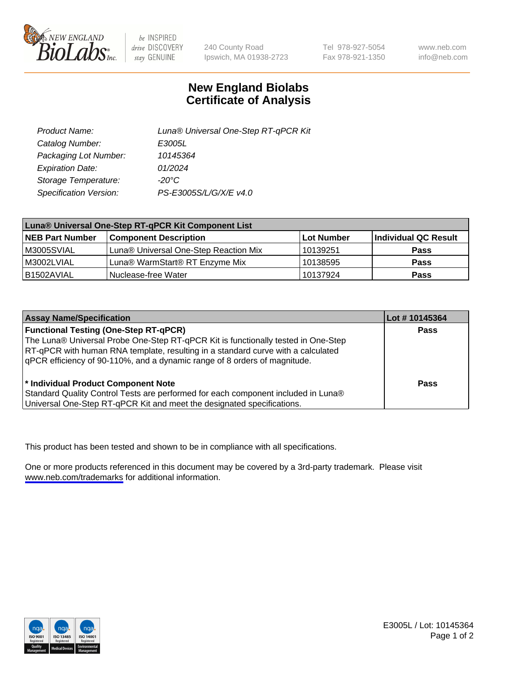

be INSPIRED drive DISCOVERY stay GENUINE

240 County Road Ipswich, MA 01938-2723 Tel 978-927-5054 Fax 978-921-1350

www.neb.com info@neb.com

## **New England Biolabs Certificate of Analysis**

| Product Name:           | Luna® Universal One-Step RT-qPCR Kit |  |
|-------------------------|--------------------------------------|--|
| Catalog Number:         | E3005L                               |  |
| Packaging Lot Number:   | 10145364                             |  |
| <b>Expiration Date:</b> | 01/2024                              |  |
| Storage Temperature:    | $-20^{\circ}$ C                      |  |
| Specification Version:  | PS-E3005S/L/G/X/E v4.0               |  |

| Luna® Universal One-Step RT-qPCR Kit Component List |                                       |            |                      |
|-----------------------------------------------------|---------------------------------------|------------|----------------------|
| <b>NEB Part Number</b>                              | <b>Component Description</b>          | Lot Number | Individual QC Result |
| M3005SVIAL                                          | Luna® Universal One-Step Reaction Mix | 10139251   | Pass                 |
| M3002LVIAL                                          | Luna® WarmStart® RT Enzyme Mix        | 10138595   | <b>Pass</b>          |
| B1502AVIAL                                          | Nuclease-free Water                   | 10137924   | <b>Pass</b>          |

| <b>Assay Name/Specification</b>                                                   | Lot # 10145364 |
|-----------------------------------------------------------------------------------|----------------|
| <b>Functional Testing (One-Step RT-qPCR)</b>                                      | <b>Pass</b>    |
| The Luna® Universal Probe One-Step RT-qPCR Kit is functionally tested in One-Step |                |
| RT-qPCR with human RNA template, resulting in a standard curve with a calculated  |                |
| qPCR efficiency of 90-110%, and a dynamic range of 8 orders of magnitude.         |                |
|                                                                                   |                |
| <sup>*</sup> Individual Product Component Note                                    | Pass           |
| Standard Quality Control Tests are performed for each component included in Luna® |                |
| Universal One-Step RT-qPCR Kit and meet the designated specifications.            |                |

This product has been tested and shown to be in compliance with all specifications.

One or more products referenced in this document may be covered by a 3rd-party trademark. Please visit <www.neb.com/trademarks>for additional information.